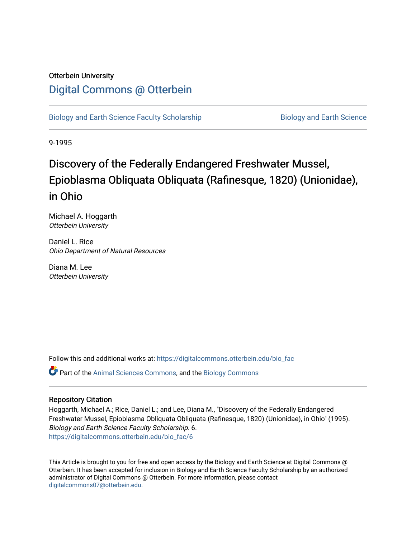# Otterbein University

# [Digital Commons @ Otterbein](https://digitalcommons.otterbein.edu/)

[Biology and Earth Science Faculty Scholarship](https://digitalcommons.otterbein.edu/bio_fac) **Biology and Earth Science** 

9-1995

# Discovery of the Federally Endangered Freshwater Mussel, Epioblasma Obliquata Obliquata (Rafinesque, 1820) (Unionidae), in Ohio

Michael A. Hoggarth Otterbein University

Daniel L. Rice Ohio Department of Natural Resources

Diana M. Lee Otterbein University

Follow this and additional works at: [https://digitalcommons.otterbein.edu/bio\\_fac](https://digitalcommons.otterbein.edu/bio_fac?utm_source=digitalcommons.otterbein.edu%2Fbio_fac%2F6&utm_medium=PDF&utm_campaign=PDFCoverPages)

Part of the [Animal Sciences Commons,](http://network.bepress.com/hgg/discipline/76?utm_source=digitalcommons.otterbein.edu%2Fbio_fac%2F6&utm_medium=PDF&utm_campaign=PDFCoverPages) and the [Biology Commons](http://network.bepress.com/hgg/discipline/41?utm_source=digitalcommons.otterbein.edu%2Fbio_fac%2F6&utm_medium=PDF&utm_campaign=PDFCoverPages) 

#### Repository Citation

Hoggarth, Michael A.; Rice, Daniel L.; and Lee, Diana M., "Discovery of the Federally Endangered Freshwater Mussel, Epioblasma Obliquata Obliquata (Rafinesque, 1820) (Unionidae), in Ohio" (1995). Biology and Earth Science Faculty Scholarship. 6. [https://digitalcommons.otterbein.edu/bio\\_fac/6](https://digitalcommons.otterbein.edu/bio_fac/6?utm_source=digitalcommons.otterbein.edu%2Fbio_fac%2F6&utm_medium=PDF&utm_campaign=PDFCoverPages)

This Article is brought to you for free and open access by the Biology and Earth Science at Digital Commons @ Otterbein. It has been accepted for inclusion in Biology and Earth Science Faculty Scholarship by an authorized administrator of Digital Commons @ Otterbein. For more information, please contact [digitalcommons07@otterbein.edu](mailto:digitalcommons07@otterbein.edu).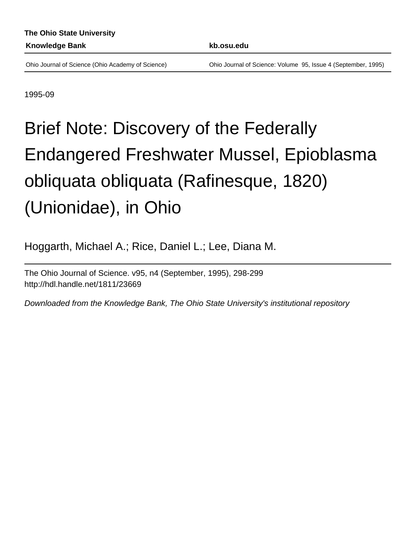Ohio Journal of Science (Ohio Academy of Science) Ohio Journal of Science: Volume 95, Issue 4 (September, 1995)

1995-09

# Brief Note: Discovery of the Federally Endangered Freshwater Mussel, Epioblasma obliquata obliquata (Rafinesque, 1820) (Unionidae), in Ohio

Hoggarth, Michael A.; Rice, Daniel L.; Lee, Diana M.

The Ohio Journal of Science. v95, n4 (September, 1995), 298-299 <http://hdl.handle.net/1811/23669>

Downloaded from the Knowledge Bank, The Ohio State University's institutional repository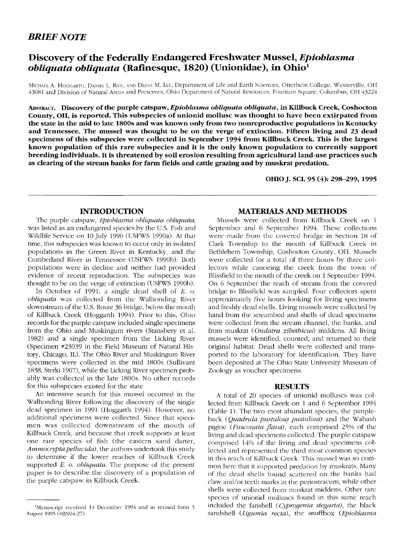### *BRIEF NOTE*

## **Discovery of the Federally Endangered Freshwater Mussel,** *Epioblasma obliquata obliquata* **(Rafinesque, 1820) (Unionidae), in Ohio<sup>1</sup>**

MICHAEL A. HOGGARTH, DANIEL L. RICE, AND DIANA M. LEE, Department of Life and Earth Sciences, Otterbein College, Westerville, OH 43081 and Division of Natural Areas and Preserves, Ohio Department of Natural Resources, Fountain Square, Columbus, OH 43224

**ABSTRACT. Discovery of the purple catspaw,** *Epioblasma obliquata obliquata,* **in Killbuck Creek, Coshocton County, OH, is reported. This subspecies of unionid mollusc was thought to have been extirpated from the state in the mid to late 1800s and** was **known only from two nonreproductive populations in Kentucky and Tennessee. The mussel was thought to be on the verge of extinction. Fifteen living and 23 dead specimens of this subspecies were collected in September 1994 from Killbuck Creek. This is the largest known population of this rare subspecies and it is the only known population to currently support breeding individuals. It is threatened by soil erosion resulting from agricultural land-use practices such as clearing of the stream banks for farm fields and cattle grazing and by muskrat predation.**

**OHIO J. SCI. 95 (4): 298-299, 1995**

#### **INTRODUCTION**

The purple catspaw, *Epioblasma obliquata obliquata,* was listed as an endangered species by the U.S. Fish and Wildlife Service on 10 July 1990 (USFWS 1990a). At that time, this subspecies was known to occur only in isolated populations in the Green River in Kentucky, and the Cumberland River in Tennessee (USFWS 1990b). Both populations were in decline and neither had provided evidence of recent reproduction. The subspecies was thought to be on the verge of extinction (USFWS 1990b).

In October of 1991, a single dead shell of *E. o. obliquata* was collected from the Walhonding River downstream of the U.S. Route 36 bridge, below the mouth of Killbuck Creek (Hoggarth 1994). Prior to this, Ohio records for the purple catspaw included single specimens from the Ohio and Muskingum rivers (Stansbery et al. 1982) and a single specimen from the Licking River (Specimen #23039 in the Field Museum of Natural History, Chicago, IL). The Ohio River and Muskingum River specimens were collected in the mid 1800s (Sullivant 1838, Sterki 1907), while the Licking River specimen probably was collected in the late 1800s. No other records for this subspecies existed for the state.

An intensive search for this mussel occurred in the Walhonding River following the discovery of the single dead specimen in 1991 (Hoggarth 1994). However, no additional specimens were collected. Since that specimen was collected downstream of the mouth of Killbuck Creek, and because that creek supports at least one rare species of fish (the eastern sand darter, *Ammocryptapellucida)*, the authors undertook this study to determine if the lower reaches of Killbuck Creek supported *E. o. obliquata.* The purpose of the present paper is to describe the discovery of a population of the purple catspaw in Killbuck Creek.

#### **MATERIALS AND METHODS**

Mussels were collected from Killbuck Creek on 1 September and 6 September 1994. These collections were made from the covered bridge in Section 18 of Clark Township to the mouth of Killbuck Creek in Bethlehem Township, Coshocton County, OH. Mussels were collected for a total of three hours by three collectors while canoeing the creek from the town of Blissfield to the mouth of the creek on 1 September 1994. On 6 September the reach of stream from the covered bridge to Blissfield was sampled. Four collectors spent approximately five hours looking for living specimens and freshly dead shells. Living mussels were collected by hand from the streambed and shells of dead specimens were collected from the stream channel, the banks, and from muskrat *{Ondatra zibethicus)* middens. All living mussels were identified, counted, and returned to their original habitat. Dead shells were collected and transported to the laboratory for identification. They have been deposited at The Ohio State University Museum of Zoology as voucher specimens.

#### **RESULTS**

A total of 20 species of unionid molluscs was collected from Killbuck Creek on 1 and 6 September 1994 (Table 1). The two most abundant species, the pimpleback *(Quadrula pustulosa pustulosd)* and the Wabash pigtoe *(Fusconaia flavd),* each comprised 25% of the living and dead specimens collected. The purple catspaw comprised 14% of the living and dead specimens collected and represented the third most common species in this reach of Killbuck Creek. This mussel was so common here that it supported predation by muskrats. Many of the dead shells found scattered on the banks had claw and/or teeth marks in the periostracum, while other shells were collected from muskrat middens. Other rare species of unionid molluscs found in this same reach included the fanshell *(Cyprogenia stegarid),* the black sandshell *(Ligumia recta),* the snuffbox *(Epioblasma*

<sup>&#</sup>x27;Manuscript received 14 December 1994 and in revised form 3 August 1995 (#BN94-27).